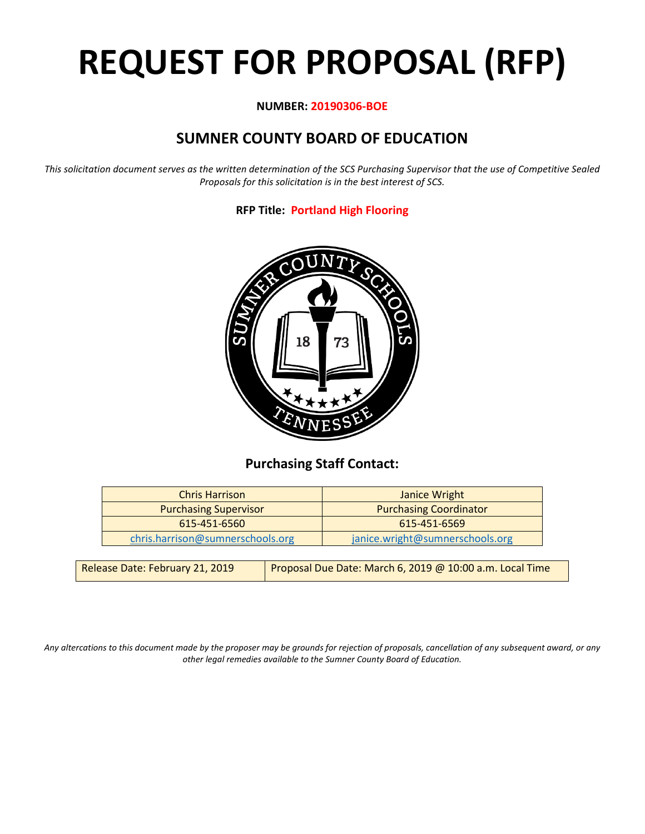# **REQUEST FOR PROPOSAL (RFP)**

# **NUMBER: 20190306-BOE**

# **SUMNER COUNTY BOARD OF EDUCATION**

*This solicitation document serves as the written determination of the SCS Purchasing Supervisor that the use of Competitive Sealed Proposals for this solicitation is in the best interest of SCS.*

# **RFP Title: Portland High Flooring**



# **Purchasing Staff Contact:**

| <b>Chris Harrison</b>            | Janice Wright                   |
|----------------------------------|---------------------------------|
| <b>Purchasing Supervisor</b>     | <b>Purchasing Coordinator</b>   |
| 615-451-6560                     | 615-451-6569                    |
| chris.harrison@sumnerschools.org | janice.wright@sumnerschools.org |

*Any altercations to this document made by the proposer may be grounds for rejection of proposals, cancellation of any subsequent award, or any other legal remedies available to the Sumner County Board of Education.*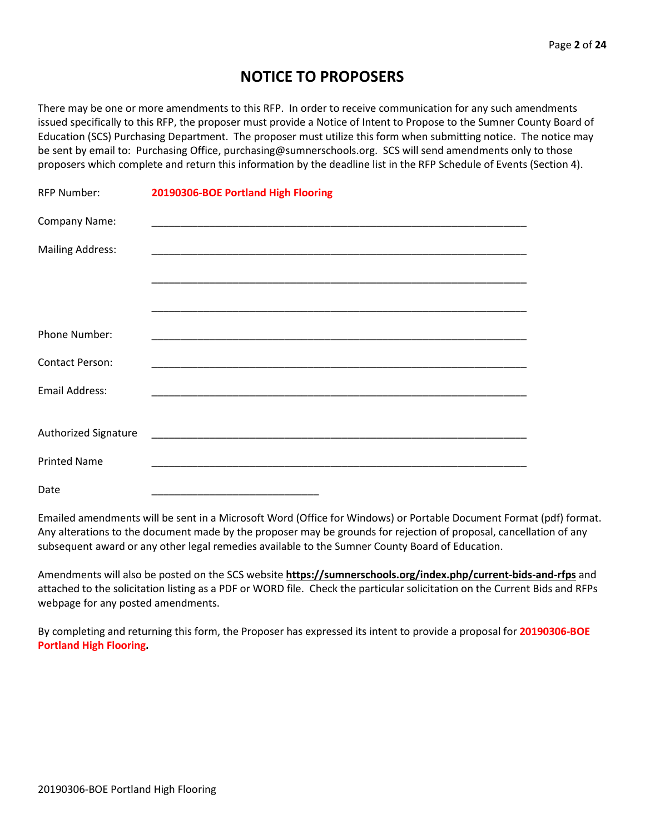# **NOTICE TO PROPOSERS**

There may be one or more amendments to this RFP. In order to receive communication for any such amendments issued specifically to this RFP, the proposer must provide a Notice of Intent to Propose to the Sumner County Board of Education (SCS) Purchasing Department. The proposer must utilize this form when submitting notice. The notice may be sent by email to: Purchasing Office, purchasing@sumnerschools.org. SCS will send amendments only to those proposers which complete and return this information by the deadline list in the RFP Schedule of Events (Section 4).

| <b>RFP Number:</b>      | 20190306-BOE Portland High Flooring |  |
|-------------------------|-------------------------------------|--|
| Company Name:           |                                     |  |
| <b>Mailing Address:</b> |                                     |  |
|                         |                                     |  |
|                         |                                     |  |
| Phone Number:           |                                     |  |
| <b>Contact Person:</b>  |                                     |  |
| Email Address:          |                                     |  |
|                         |                                     |  |
| Authorized Signature    |                                     |  |
| <b>Printed Name</b>     |                                     |  |
| Date                    |                                     |  |

Emailed amendments will be sent in a Microsoft Word (Office for Windows) or Portable Document Format (pdf) format. Any alterations to the document made by the proposer may be grounds for rejection of proposal, cancellation of any subsequent award or any other legal remedies available to the Sumner County Board of Education.

Amendments will also be posted on the SCS website **https://sumnerschools.org/index.php/current-bids-and-rfps** and attached to the solicitation listing as a PDF or WORD file. Check the particular solicitation on the Current Bids and RFPs webpage for any posted amendments.

By completing and returning this form, the Proposer has expressed its intent to provide a proposal for **20190306-BOE Portland High Flooring.**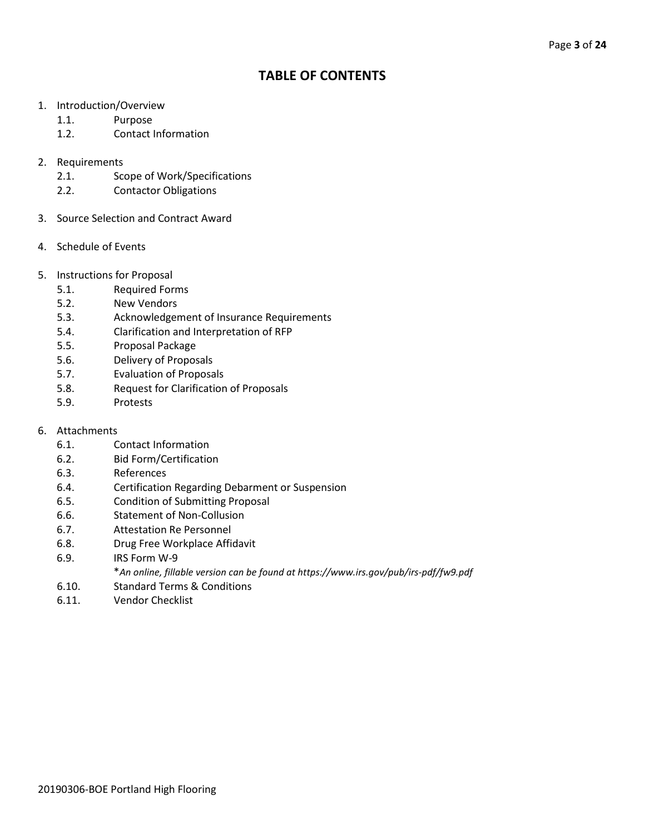# **TABLE OF CONTENTS**

- 1. Introduction/Overview
	- 1.1. Purpose
	- 1.2. Contact Information
- 2. Requirements
	- 2.1. Scope of Work/Specifications
	- 2.2. Contactor Obligations
- 3. Source Selection and Contract Award
- 4. Schedule of Events
- 5. Instructions for Proposal
	- 5.1. Required Forms
	- 5.2. New Vendors
	- 5.3. Acknowledgement of Insurance Requirements
	- 5.4. Clarification and Interpretation of RFP
	- 5.5. Proposal Package
	- 5.6. Delivery of Proposals
	- 5.7. Evaluation of Proposals
	- 5.8. Request for Clarification of Proposals
	- 5.9. Protests
- 6. Attachments
	- 6.1. Contact Information
	- 6.2. Bid Form/Certification
	- 6.3. References
	- 6.4. Certification Regarding Debarment or Suspension
	- 6.5. Condition of Submitting Proposal
	- 6.6. Statement of Non-Collusion
	- 6.7. Attestation Re Personnel
	- 6.8. Drug Free Workplace Affidavit
	- 6.9. IRS Form W-9
		- \**An online, fillable version can be found at https://www.irs.gov/pub/irs-pdf/fw9.pdf*
	- 6.10. Standard Terms & Conditions
	- 6.11. Vendor Checklist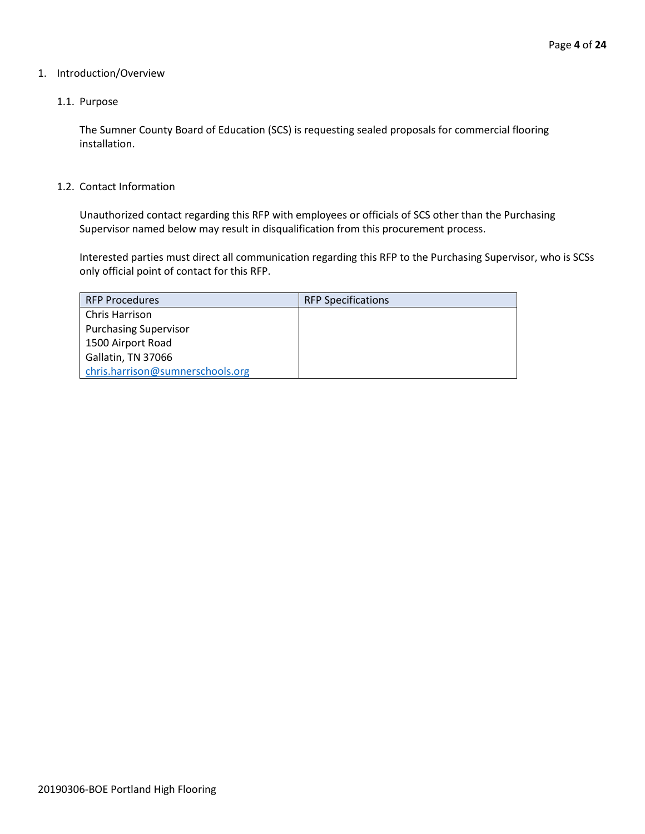## 1. Introduction/Overview

## 1.1. Purpose

The Sumner County Board of Education (SCS) is requesting sealed proposals for commercial flooring installation.

#### 1.2. Contact Information

Unauthorized contact regarding this RFP with employees or officials of SCS other than the Purchasing Supervisor named below may result in disqualification from this procurement process.

Interested parties must direct all communication regarding this RFP to the Purchasing Supervisor, who is SCSs only official point of contact for this RFP.

| <b>RFP Procedures</b>            | <b>RFP Specifications</b> |
|----------------------------------|---------------------------|
| <b>Chris Harrison</b>            |                           |
| <b>Purchasing Supervisor</b>     |                           |
| 1500 Airport Road                |                           |
| Gallatin, TN 37066               |                           |
| chris.harrison@sumnerschools.org |                           |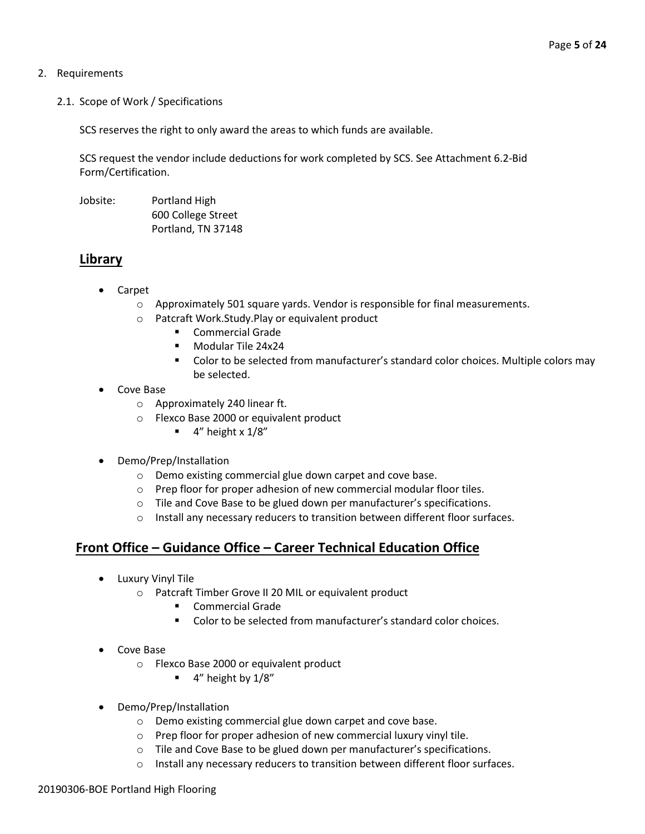## 2. Requirements

2.1. Scope of Work / Specifications

SCS reserves the right to only award the areas to which funds are available.

SCS request the vendor include deductions for work completed by SCS. See Attachment 6.2-Bid Form/Certification.

Jobsite: Portland High 600 College Street Portland, TN 37148

# **Library**

- Carpet
	- o Approximately 501 square yards. Vendor is responsible for final measurements.
	- o Patcraft Work.Study.Play or equivalent product
		- **EXECOMMERCIAL Grade**
		- **Modular Tile 24x24**
		- Color to be selected from manufacturer's standard color choices. Multiple colors may be selected.
- Cove Base
	- o Approximately 240 linear ft.
	- o Flexco Base 2000 or equivalent product
		- $\blacksquare$  4" height x 1/8"
- Demo/Prep/Installation
	- o Demo existing commercial glue down carpet and cove base.
	- o Prep floor for proper adhesion of new commercial modular floor tiles.
	- o Tile and Cove Base to be glued down per manufacturer's specifications.
	- o Install any necessary reducers to transition between different floor surfaces.

# **Front Office – Guidance Office – Career Technical Education Office**

- Luxury Vinyl Tile
	- o Patcraft Timber Grove II 20 MIL or equivalent product
		- **E** Commercial Grade
		- Color to be selected from manufacturer's standard color choices.
- Cove Base
	- o Flexco Base 2000 or equivalent product
		- $\blacksquare$  4" height by  $1/8$ "
- Demo/Prep/Installation
	- o Demo existing commercial glue down carpet and cove base.
	- o Prep floor for proper adhesion of new commercial luxury vinyl tile.
	- o Tile and Cove Base to be glued down per manufacturer's specifications.
	- o Install any necessary reducers to transition between different floor surfaces.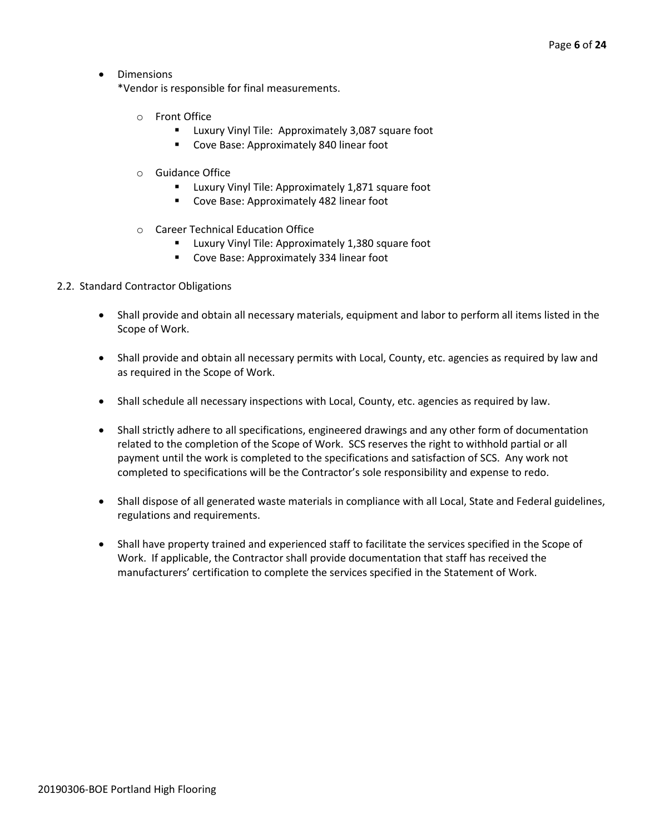• Dimensions

\*Vendor is responsible for final measurements.

- o Front Office
	- **Luxury Vinyl Tile: Approximately 3,087 square foot**
	- **Cove Base: Approximately 840 linear foot**
- o Guidance Office
	- **E** Luxury Vinyl Tile: Approximately 1,871 square foot
	- **Cove Base: Approximately 482 linear foot**
- o Career Technical Education Office
	- **E** Luxury Vinyl Tile: Approximately 1,380 square foot
	- **Cove Base: Approximately 334 linear foot**

## 2.2. Standard Contractor Obligations

- Shall provide and obtain all necessary materials, equipment and labor to perform all items listed in the Scope of Work.
- Shall provide and obtain all necessary permits with Local, County, etc. agencies as required by law and as required in the Scope of Work.
- Shall schedule all necessary inspections with Local, County, etc. agencies as required by law.
- Shall strictly adhere to all specifications, engineered drawings and any other form of documentation related to the completion of the Scope of Work. SCS reserves the right to withhold partial or all payment until the work is completed to the specifications and satisfaction of SCS. Any work not completed to specifications will be the Contractor's sole responsibility and expense to redo.
- Shall dispose of all generated waste materials in compliance with all Local, State and Federal guidelines, regulations and requirements.
- Shall have property trained and experienced staff to facilitate the services specified in the Scope of Work. If applicable, the Contractor shall provide documentation that staff has received the manufacturers' certification to complete the services specified in the Statement of Work.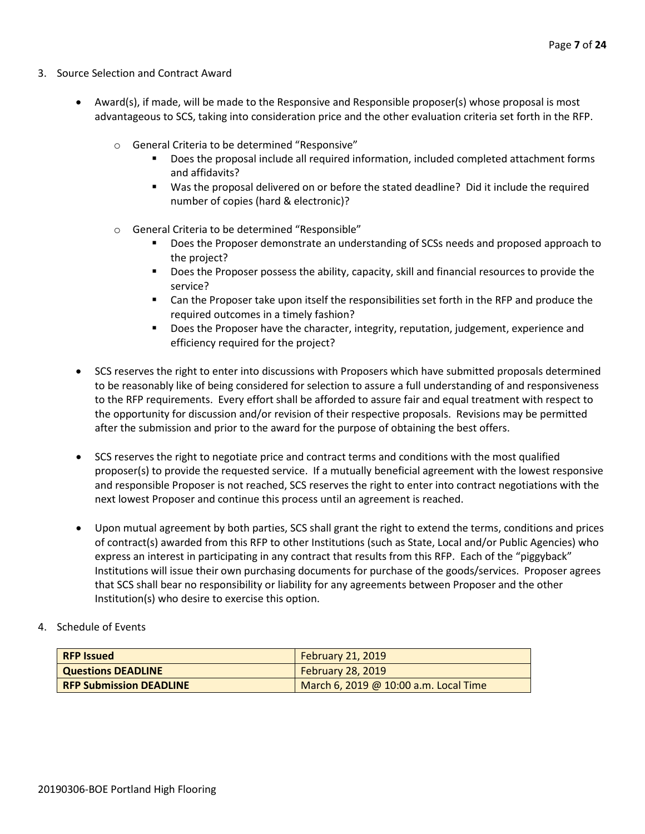- 3. Source Selection and Contract Award
	- Award(s), if made, will be made to the Responsive and Responsible proposer(s) whose proposal is most advantageous to SCS, taking into consideration price and the other evaluation criteria set forth in the RFP.
		- o General Criteria to be determined "Responsive"
			- Does the proposal include all required information, included completed attachment forms and affidavits?
			- Was the proposal delivered on or before the stated deadline? Did it include the required number of copies (hard & electronic)?
		- o General Criteria to be determined "Responsible"
			- Does the Proposer demonstrate an understanding of SCSs needs and proposed approach to the project?
			- **Does the Proposer possess the ability, capacity, skill and financial resources to provide the** service?
			- Can the Proposer take upon itself the responsibilities set forth in the RFP and produce the required outcomes in a timely fashion?
			- **Does the Proposer have the character, integrity, reputation, judgement, experience and** efficiency required for the project?
	- SCS reserves the right to enter into discussions with Proposers which have submitted proposals determined to be reasonably like of being considered for selection to assure a full understanding of and responsiveness to the RFP requirements. Every effort shall be afforded to assure fair and equal treatment with respect to the opportunity for discussion and/or revision of their respective proposals. Revisions may be permitted after the submission and prior to the award for the purpose of obtaining the best offers.
	- SCS reserves the right to negotiate price and contract terms and conditions with the most qualified proposer(s) to provide the requested service. If a mutually beneficial agreement with the lowest responsive and responsible Proposer is not reached, SCS reserves the right to enter into contract negotiations with the next lowest Proposer and continue this process until an agreement is reached.
	- Upon mutual agreement by both parties, SCS shall grant the right to extend the terms, conditions and prices of contract(s) awarded from this RFP to other Institutions (such as State, Local and/or Public Agencies) who express an interest in participating in any contract that results from this RFP. Each of the "piggyback" Institutions will issue their own purchasing documents for purchase of the goods/services. Proposer agrees that SCS shall bear no responsibility or liability for any agreements between Proposer and the other Institution(s) who desire to exercise this option.
- 4. Schedule of Events

| <b>RFP Issued</b>              | <b>February 21, 2019</b>              |
|--------------------------------|---------------------------------------|
| <b>Questions DEADLINE</b>      | <b>February 28, 2019</b>              |
| <b>RFP Submission DEADLINE</b> | March 6, 2019 @ 10:00 a.m. Local Time |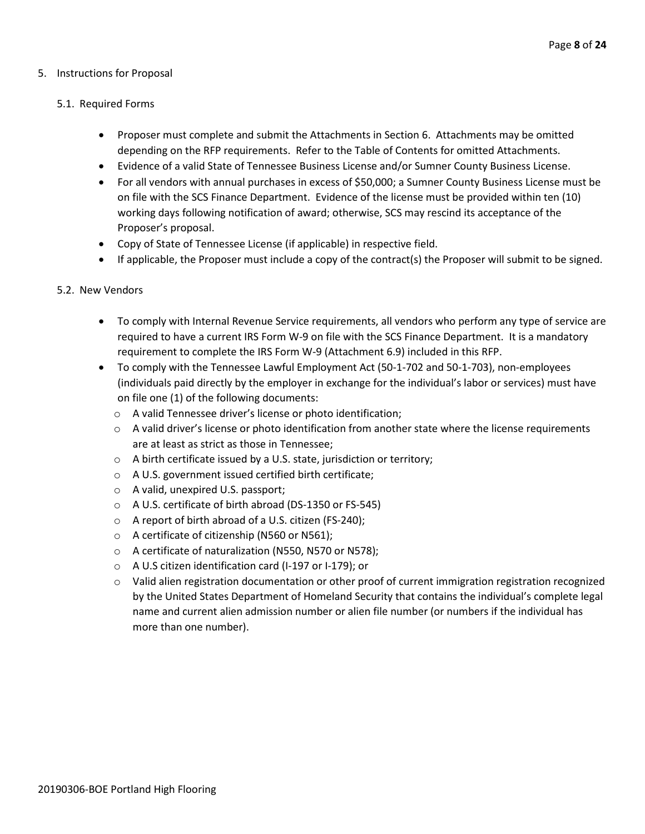## 5. Instructions for Proposal

#### 5.1. Required Forms

- Proposer must complete and submit the Attachments in Section 6. Attachments may be omitted depending on the RFP requirements. Refer to the Table of Contents for omitted Attachments.
- Evidence of a valid State of Tennessee Business License and/or Sumner County Business License.
- For all vendors with annual purchases in excess of \$50,000; a Sumner County Business License must be on file with the SCS Finance Department. Evidence of the license must be provided within ten (10) working days following notification of award; otherwise, SCS may rescind its acceptance of the Proposer's proposal.
- Copy of State of Tennessee License (if applicable) in respective field.
- If applicable, the Proposer must include a copy of the contract(s) the Proposer will submit to be signed.

#### 5.2. New Vendors

- To comply with Internal Revenue Service requirements, all vendors who perform any type of service are required to have a current IRS Form W-9 on file with the SCS Finance Department. It is a mandatory requirement to complete the IRS Form W-9 (Attachment 6.9) included in this RFP.
- To comply with the Tennessee Lawful Employment Act (50-1-702 and 50-1-703), non-employees (individuals paid directly by the employer in exchange for the individual's labor or services) must have on file one (1) of the following documents:
	- o A valid Tennessee driver's license or photo identification;
	- $\circ$  A valid driver's license or photo identification from another state where the license requirements are at least as strict as those in Tennessee;
	- o A birth certificate issued by a U.S. state, jurisdiction or territory;
	- o A U.S. government issued certified birth certificate;
	- o A valid, unexpired U.S. passport;
	- o A U.S. certificate of birth abroad (DS-1350 or FS-545)
	- o A report of birth abroad of a U.S. citizen (FS-240);
	- o A certificate of citizenship (N560 or N561);
	- o A certificate of naturalization (N550, N570 or N578);
	- o A U.S citizen identification card (I-197 or I-179); or
	- $\circ$  Valid alien registration documentation or other proof of current immigration registration recognized by the United States Department of Homeland Security that contains the individual's complete legal name and current alien admission number or alien file number (or numbers if the individual has more than one number).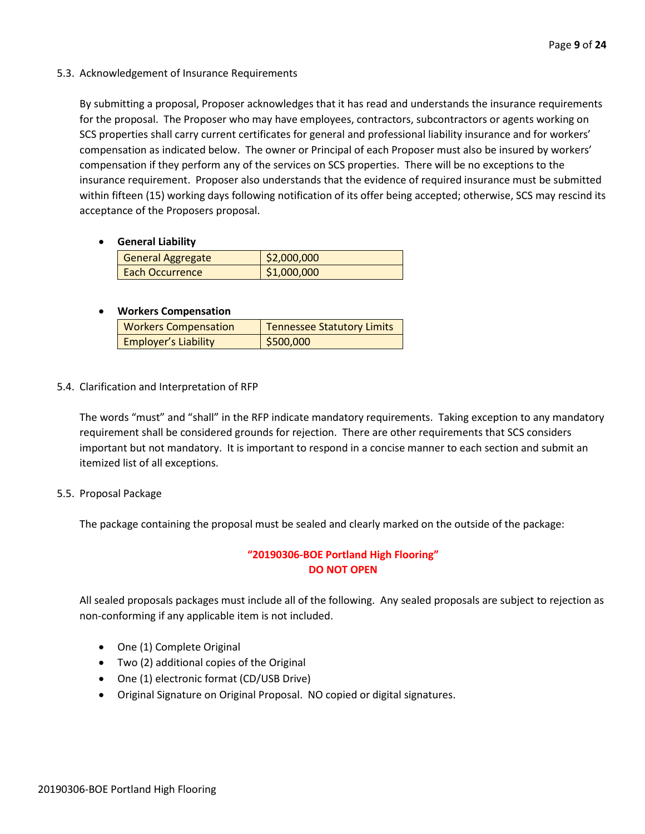5.3. Acknowledgement of Insurance Requirements

By submitting a proposal, Proposer acknowledges that it has read and understands the insurance requirements for the proposal. The Proposer who may have employees, contractors, subcontractors or agents working on SCS properties shall carry current certificates for general and professional liability insurance and for workers' compensation as indicated below. The owner or Principal of each Proposer must also be insured by workers' compensation if they perform any of the services on SCS properties. There will be no exceptions to the insurance requirement. Proposer also understands that the evidence of required insurance must be submitted within fifteen (15) working days following notification of its offer being accepted; otherwise, SCS may rescind its acceptance of the Proposers proposal.

• **General Liability**

| General Aggregate      | \$2,000,000 |
|------------------------|-------------|
| <b>Each Occurrence</b> | \$1,000,000 |

## • **Workers Compensation**

| <b>Workers Compensation</b> | <b>Tennessee Statutory Limits</b> |
|-----------------------------|-----------------------------------|
| <b>Employer's Liability</b> | \$500,000                         |

5.4. Clarification and Interpretation of RFP

The words "must" and "shall" in the RFP indicate mandatory requirements. Taking exception to any mandatory requirement shall be considered grounds for rejection. There are other requirements that SCS considers important but not mandatory. It is important to respond in a concise manner to each section and submit an itemized list of all exceptions.

5.5. Proposal Package

The package containing the proposal must be sealed and clearly marked on the outside of the package:

# **"20190306-BOE Portland High Flooring" DO NOT OPEN**

All sealed proposals packages must include all of the following. Any sealed proposals are subject to rejection as non-conforming if any applicable item is not included.

- One (1) Complete Original
- Two (2) additional copies of the Original
- One (1) electronic format (CD/USB Drive)
- Original Signature on Original Proposal. NO copied or digital signatures.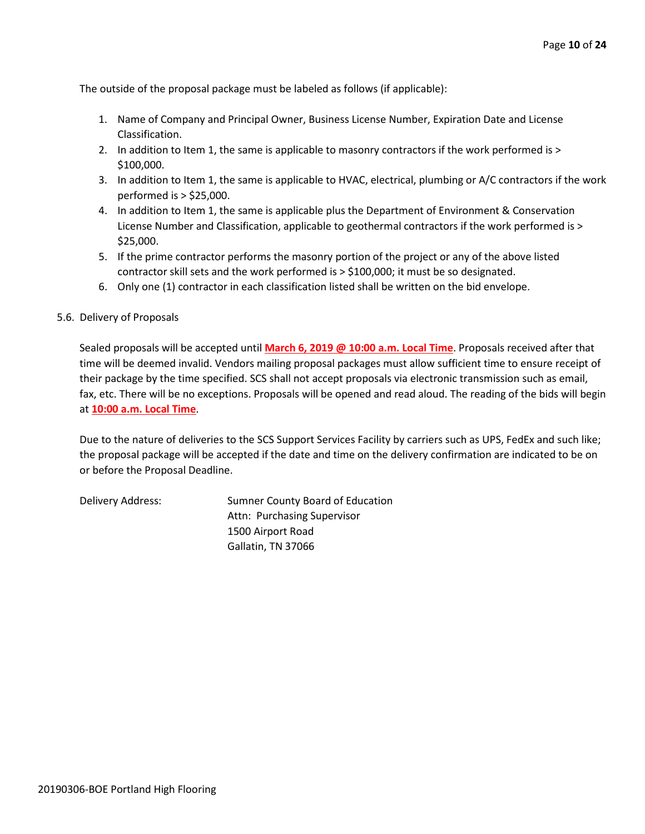The outside of the proposal package must be labeled as follows (if applicable):

- 1. Name of Company and Principal Owner, Business License Number, Expiration Date and License Classification.
- 2. In addition to Item 1, the same is applicable to masonry contractors if the work performed is > \$100,000.
- 3. In addition to Item 1, the same is applicable to HVAC, electrical, plumbing or A/C contractors if the work performed is > \$25,000.
- 4. In addition to Item 1, the same is applicable plus the Department of Environment & Conservation License Number and Classification, applicable to geothermal contractors if the work performed is > \$25,000.
- 5. If the prime contractor performs the masonry portion of the project or any of the above listed contractor skill sets and the work performed is > \$100,000; it must be so designated.
- 6. Only one (1) contractor in each classification listed shall be written on the bid envelope.
- 5.6. Delivery of Proposals

Sealed proposals will be accepted until **March 6, 2019 @ 10:00 a.m. Local Time**. Proposals received after that time will be deemed invalid. Vendors mailing proposal packages must allow sufficient time to ensure receipt of their package by the time specified. SCS shall not accept proposals via electronic transmission such as email, fax, etc. There will be no exceptions. Proposals will be opened and read aloud. The reading of the bids will begin at **10:00 a.m. Local Time**.

Due to the nature of deliveries to the SCS Support Services Facility by carriers such as UPS, FedEx and such like; the proposal package will be accepted if the date and time on the delivery confirmation are indicated to be on or before the Proposal Deadline.

Delivery Address: Sumner County Board of Education Attn: Purchasing Supervisor 1500 Airport Road Gallatin, TN 37066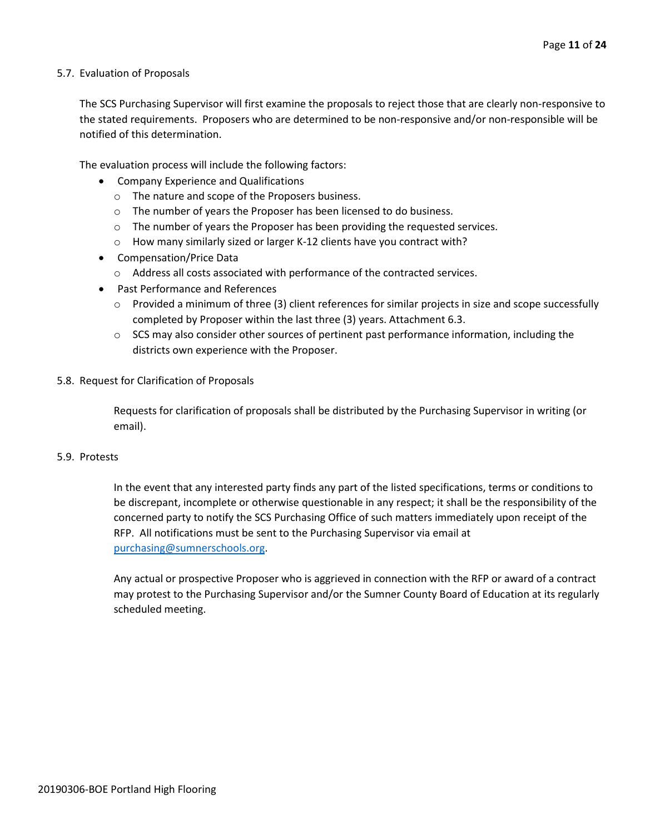#### 5.7. Evaluation of Proposals

The SCS Purchasing Supervisor will first examine the proposals to reject those that are clearly non-responsive to the stated requirements. Proposers who are determined to be non-responsive and/or non-responsible will be notified of this determination.

The evaluation process will include the following factors:

- Company Experience and Qualifications
	- o The nature and scope of the Proposers business.
	- $\circ$  The number of years the Proposer has been licensed to do business.
	- $\circ$  The number of years the Proposer has been providing the requested services.
	- o How many similarly sized or larger K-12 clients have you contract with?
- Compensation/Price Data
	- o Address all costs associated with performance of the contracted services.
- Past Performance and References
	- $\circ$  Provided a minimum of three (3) client references for similar projects in size and scope successfully completed by Proposer within the last three (3) years. Attachment 6.3.
	- $\circ$  SCS may also consider other sources of pertinent past performance information, including the districts own experience with the Proposer.
- 5.8. Request for Clarification of Proposals

Requests for clarification of proposals shall be distributed by the Purchasing Supervisor in writing (or email).

#### 5.9. Protests

In the event that any interested party finds any part of the listed specifications, terms or conditions to be discrepant, incomplete or otherwise questionable in any respect; it shall be the responsibility of the concerned party to notify the SCS Purchasing Office of such matters immediately upon receipt of the RFP. All notifications must be sent to the Purchasing Supervisor via email at [purchasing@sumnerschools.org.](mailto:purchasing@sumnerschools.org)

Any actual or prospective Proposer who is aggrieved in connection with the RFP or award of a contract may protest to the Purchasing Supervisor and/or the Sumner County Board of Education at its regularly scheduled meeting.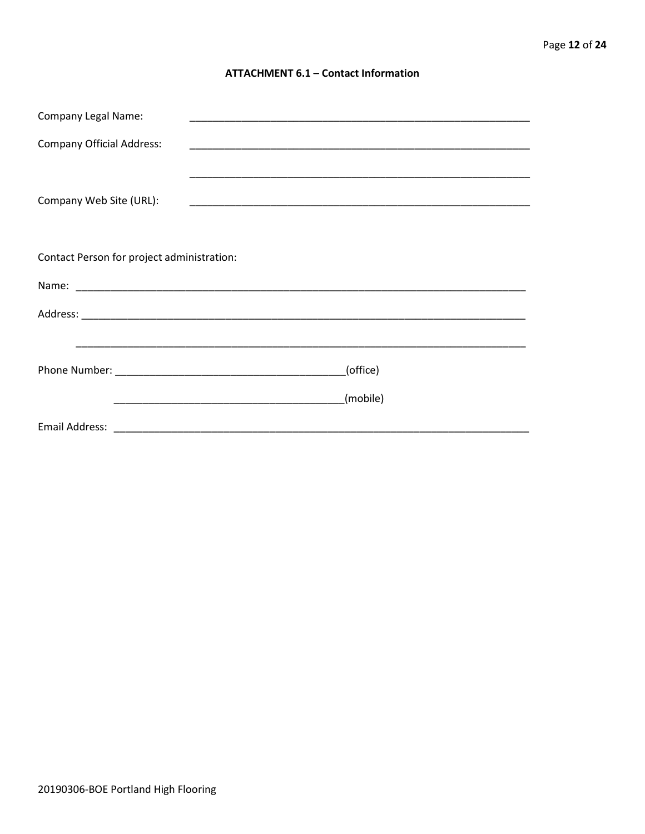#### **ATTACHMENT 6.1 - Contact Information**

| <b>Company Legal Name:</b>                 |          |
|--------------------------------------------|----------|
| <b>Company Official Address:</b>           |          |
|                                            |          |
| Company Web Site (URL):                    |          |
|                                            |          |
| Contact Person for project administration: |          |
|                                            |          |
|                                            |          |
|                                            |          |
|                                            | (office) |
|                                            | (mobile) |
|                                            |          |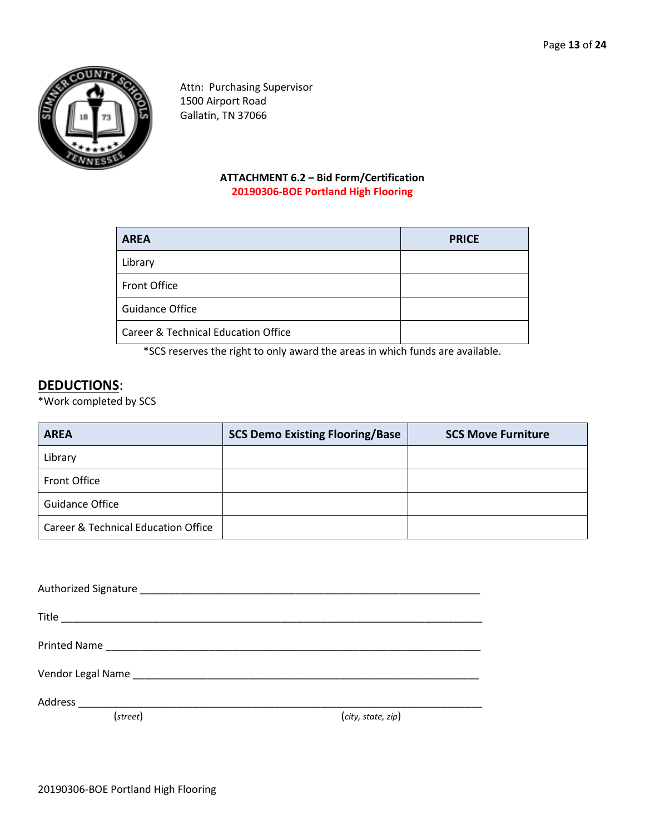

Attn: Purchasing Supervisor 1500 Airport Road Gallatin, TN 37066

# **ATTACHMENT 6.2 – Bid Form/Certification 20190306-BOE Portland High Flooring**

| <b>AREA</b>                                    | <b>PRICE</b> |
|------------------------------------------------|--------------|
| Library                                        |              |
| Front Office                                   |              |
| <b>Guidance Office</b>                         |              |
| <b>Career &amp; Technical Education Office</b> |              |

\*SCS reserves the right to only award the areas in which funds are available.

# **DEDUCTIONS**:

\*Work completed by SCS

| <b>AREA</b>                         | <b>SCS Demo Existing Flooring/Base</b> | <b>SCS Move Furniture</b> |
|-------------------------------------|----------------------------------------|---------------------------|
| Library                             |                                        |                           |
| <b>Front Office</b>                 |                                        |                           |
| <b>Guidance Office</b>              |                                        |                           |
| Career & Technical Education Office |                                        |                           |

| Address<br><u> 1989 - Jan Berlin, Amerikaansk politiker (* 1958)</u> |
|----------------------------------------------------------------------|

(*street*) (*city, state, zip*)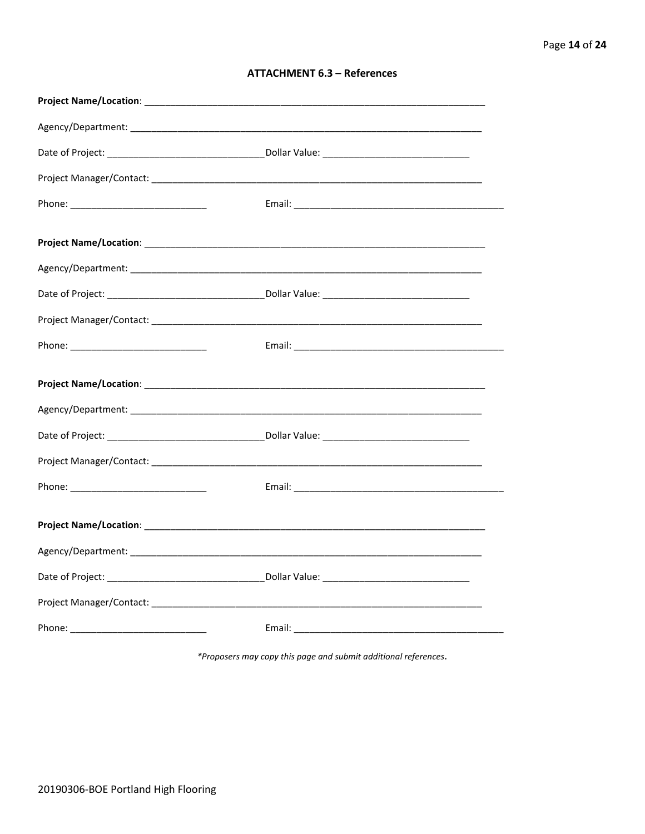| <b>ATTACHMENT 6.3 - References</b> |  |  |
|------------------------------------|--|--|
|------------------------------------|--|--|

\*Proposers may copy this page and submit additional references.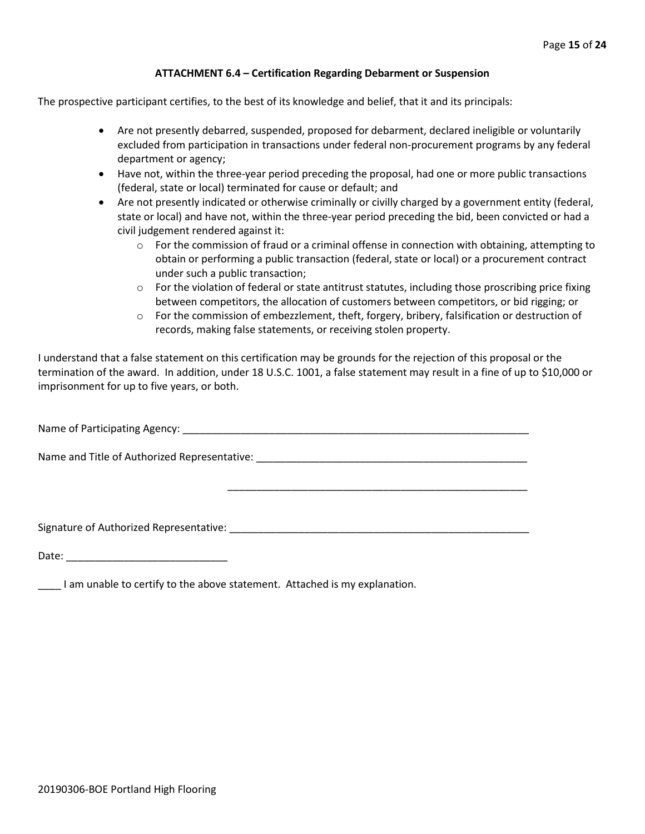#### **ATTACHMENT 6.4 – Certification Regarding Debarment or Suspension**

The prospective participant certifies, to the best of its knowledge and belief, that it and its principals:

- Are not presently debarred, suspended, proposed for debarment, declared ineligible or voluntarily excluded from participation in transactions under federal non-procurement programs by any federal department or agency;
- Have not, within the three-year period preceding the proposal, had one or more public transactions (federal, state or local) terminated for cause or default; and
- Are not presently indicated or otherwise criminally or civilly charged by a government entity (federal, state or local) and have not, within the three-year period preceding the bid, been convicted or had a civil judgement rendered against it:
	- $\circ$  For the commission of fraud or a criminal offense in connection with obtaining, attempting to obtain or performing a public transaction (federal, state or local) or a procurement contract under such a public transaction;
	- $\circ$  For the violation of federal or state antitrust statutes, including those proscribing price fixing between competitors, the allocation of customers between competitors, or bid rigging; or
	- o For the commission of embezzlement, theft, forgery, bribery, falsification or destruction of records, making false statements, or receiving stolen property.

\_\_\_\_\_\_\_\_\_\_\_\_\_\_\_\_\_\_\_\_\_\_\_\_\_\_\_\_\_\_\_\_\_\_\_\_\_\_\_\_\_\_\_\_\_\_\_\_\_\_\_\_

I understand that a false statement on this certification may be grounds for the rejection of this proposal or the termination of the award. In addition, under 18 U.S.C. 1001, a false statement may result in a fine of up to \$10,000 or imprisonment for up to five years, or both.

Name of Participating Agency: \_\_\_\_\_\_\_\_\_\_\_\_\_\_\_\_\_\_\_\_\_\_\_\_\_\_\_\_\_\_\_\_\_\_\_\_\_\_\_\_\_\_\_\_\_\_\_\_\_\_\_\_\_\_\_\_\_\_\_\_

Name and Title of Authorized Representative: \_\_\_\_\_\_\_\_\_\_\_\_\_\_\_\_\_\_\_\_\_\_\_\_\_\_\_\_\_\_\_\_\_\_\_\_\_\_\_\_\_\_\_\_\_\_\_

Signature of Authorized Representative: \_\_\_\_\_\_\_\_\_\_\_\_\_\_\_\_\_\_\_\_\_\_\_\_\_\_\_\_\_\_\_\_\_\_\_\_\_\_\_\_\_\_\_\_\_\_\_\_\_\_\_\_

Date: \_\_\_\_\_\_\_\_\_\_\_\_\_\_\_\_\_\_\_\_\_\_\_\_\_\_\_\_

\_\_\_\_ I am unable to certify to the above statement. Attached is my explanation.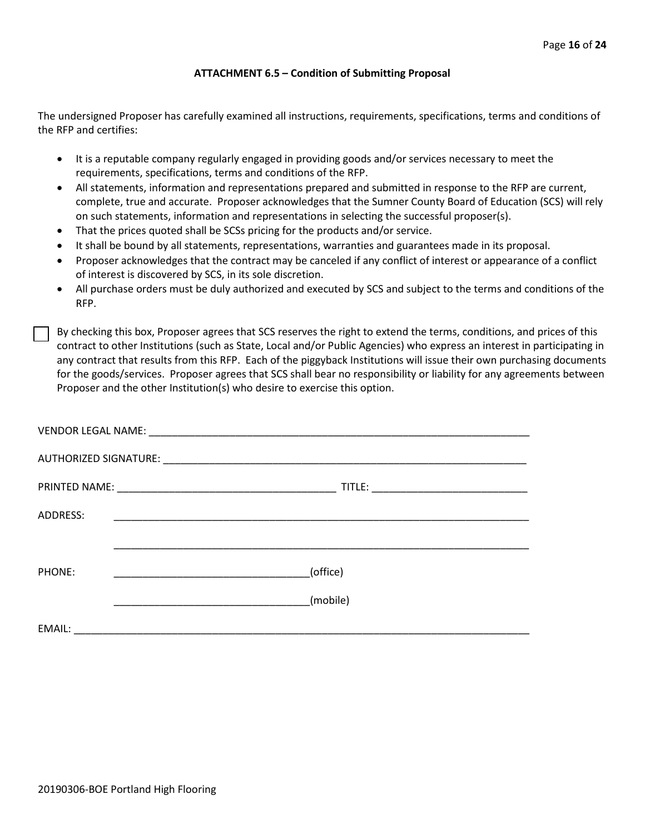#### **ATTACHMENT 6.5 – Condition of Submitting Proposal**

The undersigned Proposer has carefully examined all instructions, requirements, specifications, terms and conditions of the RFP and certifies:

- It is a reputable company regularly engaged in providing goods and/or services necessary to meet the requirements, specifications, terms and conditions of the RFP.
- All statements, information and representations prepared and submitted in response to the RFP are current, complete, true and accurate. Proposer acknowledges that the Sumner County Board of Education (SCS) will rely on such statements, information and representations in selecting the successful proposer(s).
- That the prices quoted shall be SCSs pricing for the products and/or service.
- It shall be bound by all statements, representations, warranties and guarantees made in its proposal.
- Proposer acknowledges that the contract may be canceled if any conflict of interest or appearance of a conflict of interest is discovered by SCS, in its sole discretion.
- All purchase orders must be duly authorized and executed by SCS and subject to the terms and conditions of the RFP.

By checking this box, Proposer agrees that SCS reserves the right to extend the terms, conditions, and prices of this contract to other Institutions (such as State, Local and/or Public Agencies) who express an interest in participating in any contract that results from this RFP. Each of the piggyback Institutions will issue their own purchasing documents for the goods/services. Proposer agrees that SCS shall bear no responsibility or liability for any agreements between Proposer and the other Institution(s) who desire to exercise this option.

| ADDRESS: |                                                                                                                      |
|----------|----------------------------------------------------------------------------------------------------------------------|
|          |                                                                                                                      |
| PHONE:   | (office)                                                                                                             |
|          | (mobile)                                                                                                             |
| EMAIL:   | <u> 1989 - Johann John Stein, mars and de British and de British and de British and de British and de British an</u> |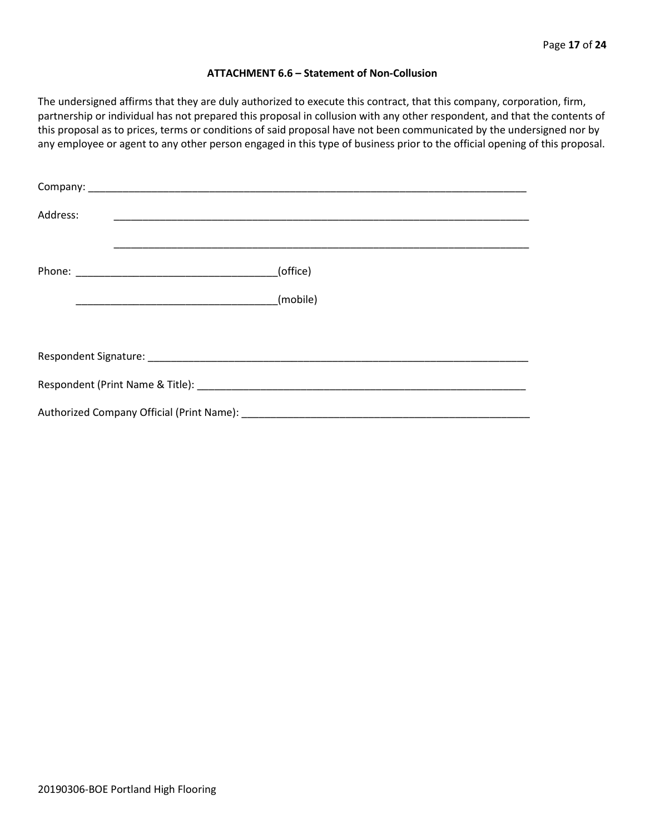#### **ATTACHMENT 6.6 – Statement of Non-Collusion**

The undersigned affirms that they are duly authorized to execute this contract, that this company, corporation, firm, partnership or individual has not prepared this proposal in collusion with any other respondent, and that the contents of this proposal as to prices, terms or conditions of said proposal have not been communicated by the undersigned nor by any employee or agent to any other person engaged in this type of business prior to the official opening of this proposal.

| Address: |          |  |  |  |  |
|----------|----------|--|--|--|--|
|          | (office) |  |  |  |  |
|          | (mobile) |  |  |  |  |
|          |          |  |  |  |  |
|          |          |  |  |  |  |
|          |          |  |  |  |  |
|          |          |  |  |  |  |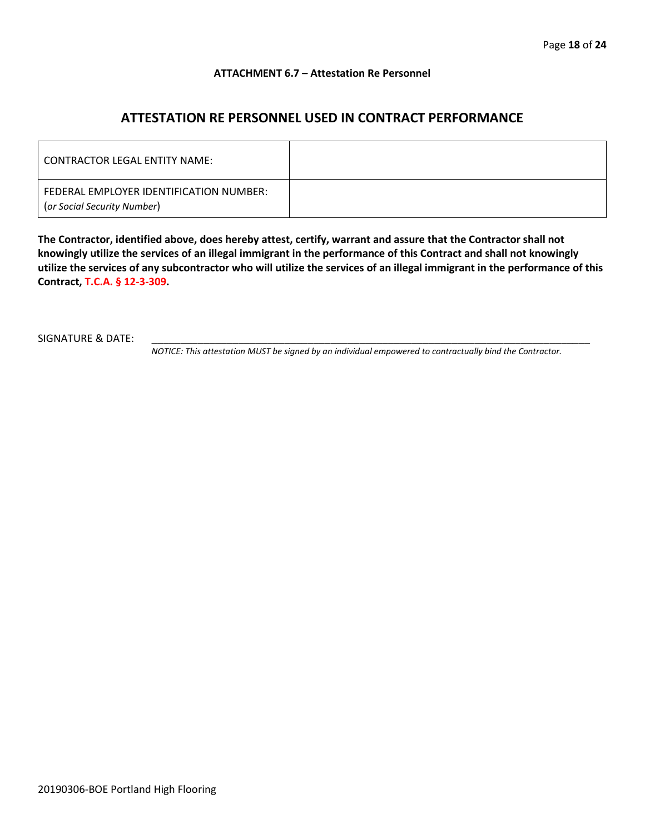#### **ATTACHMENT 6.7 – Attestation Re Personnel**

# **ATTESTATION RE PERSONNEL USED IN CONTRACT PERFORMANCE**

| CONTRACTOR LEGAL ENTITY NAME:                                          |  |
|------------------------------------------------------------------------|--|
| FEDERAL EMPLOYER IDENTIFICATION NUMBER:<br>(or Social Security Number) |  |

**The Contractor, identified above, does hereby attest, certify, warrant and assure that the Contractor shall not knowingly utilize the services of an illegal immigrant in the performance of this Contract and shall not knowingly utilize the services of any subcontractor who will utilize the services of an illegal immigrant in the performance of this Contract, T.C.A. § 12-3-309.**

SIGNATURE & DATE:

*NOTICE: This attestation MUST be signed by an individual empowered to contractually bind the Contractor.*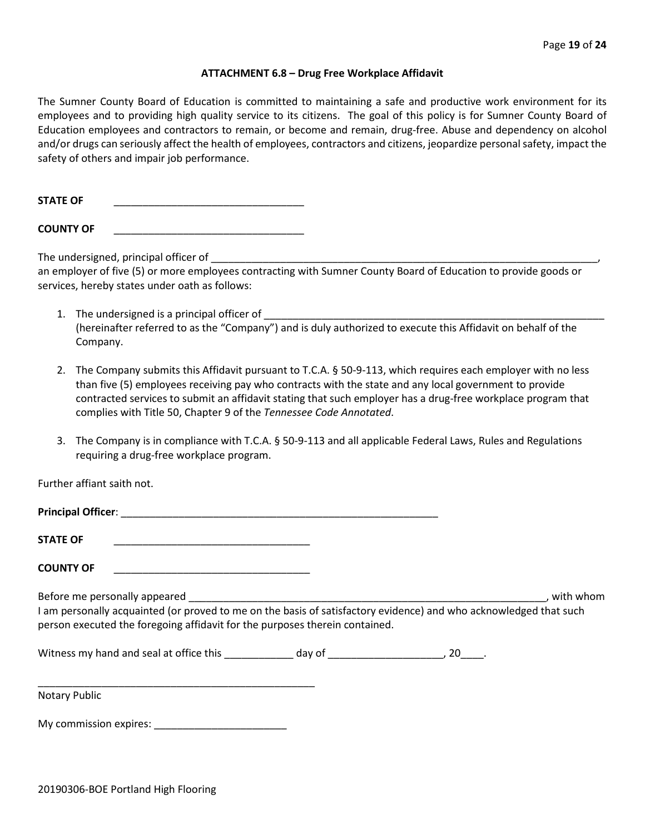#### **ATTACHMENT 6.8 – Drug Free Workplace Affidavit**

The Sumner County Board of Education is committed to maintaining a safe and productive work environment for its employees and to providing high quality service to its citizens. The goal of this policy is for Sumner County Board of Education employees and contractors to remain, or become and remain, drug-free. Abuse and dependency on alcohol and/or drugs can seriously affect the health of employees, contractors and citizens, jeopardize personal safety, impact the safety of others and impair job performance.

STATE OF

**COUNTY OF** \_\_\_\_\_\_\_\_\_\_\_\_\_\_\_\_\_\_\_\_\_\_\_\_\_\_\_\_\_\_\_\_\_

The undersigned, principal officer of

an employer of five (5) or more employees contracting with Sumner County Board of Education to provide goods or services, hereby states under oath as follows:

- 1. The undersigned is a principal officer of (hereinafter referred to as the "Company") and is duly authorized to execute this Affidavit on behalf of the Company.
- 2. The Company submits this Affidavit pursuant to T.C.A. § 50-9-113, which requires each employer with no less than five (5) employees receiving pay who contracts with the state and any local government to provide contracted services to submit an affidavit stating that such employer has a drug-free workplace program that complies with Title 50, Chapter 9 of the *Tennessee Code Annotated*.
- 3. The Company is in compliance with T.C.A. § 50-9-113 and all applicable Federal Laws, Rules and Regulations requiring a drug-free workplace program.

Further affiant saith not.

| <b>Principal Officer:</b>                                                                                                                                                                                                                      |              |  |  |  |  |  |  |  |
|------------------------------------------------------------------------------------------------------------------------------------------------------------------------------------------------------------------------------------------------|--------------|--|--|--|--|--|--|--|
| <b>STATE OF</b>                                                                                                                                                                                                                                |              |  |  |  |  |  |  |  |
| <b>COUNTY OF</b>                                                                                                                                                                                                                               |              |  |  |  |  |  |  |  |
| Before me personally appeared<br>with whom<br>I am personally acquainted (or proved to me on the basis of satisfactory evidence) and who acknowledged that such<br>person executed the foregoing affidavit for the purposes therein contained. |              |  |  |  |  |  |  |  |
| Witness my hand and seal at office this                                                                                                                                                                                                        | day of<br>20 |  |  |  |  |  |  |  |

\_\_\_\_\_\_\_\_\_\_\_\_\_\_\_\_\_\_\_\_\_\_\_\_\_\_\_\_\_\_\_\_\_\_\_\_\_\_\_\_\_\_\_\_\_\_\_\_ Notary Public

My commission expires: \_\_\_\_\_\_\_\_\_\_\_\_\_\_\_\_\_\_\_\_\_\_\_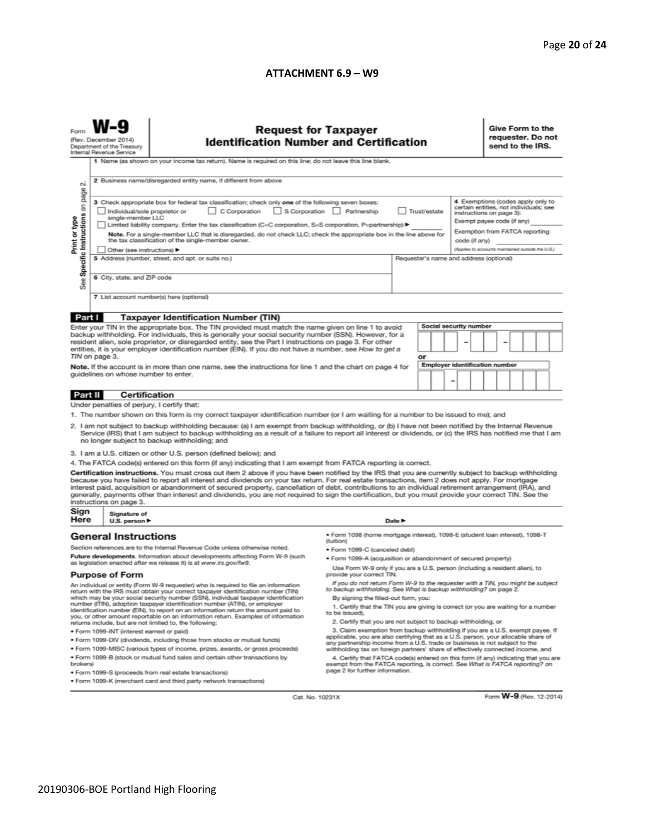#### **ATTACHMENT 6.9 – W9**

|                                                                                                                                                                                                                                                                                                                                                                                                                                                                                                                                                                                                                                                                                                                                                                             | <b>Request for Taxpayer</b><br>(Rev. December 2014)<br><b>Identification Number and Certification</b><br>Department of the Treasury<br>Internal Revenue Service<br>1 Name (as shown on your income tax return). Name is required on this line; do not leave this line blank.                                                                                |                                                                                                                                                                                           |                                                                                                                                               |        |              |  |  |                                                                                                                                                                | Give Form to the<br>requester. Do not<br>send to the IRS.                   |  |  |  |  |  |
|-----------------------------------------------------------------------------------------------------------------------------------------------------------------------------------------------------------------------------------------------------------------------------------------------------------------------------------------------------------------------------------------------------------------------------------------------------------------------------------------------------------------------------------------------------------------------------------------------------------------------------------------------------------------------------------------------------------------------------------------------------------------------------|-------------------------------------------------------------------------------------------------------------------------------------------------------------------------------------------------------------------------------------------------------------------------------------------------------------------------------------------------------------|-------------------------------------------------------------------------------------------------------------------------------------------------------------------------------------------|-----------------------------------------------------------------------------------------------------------------------------------------------|--------|--------------|--|--|----------------------------------------------------------------------------------------------------------------------------------------------------------------|-----------------------------------------------------------------------------|--|--|--|--|--|
| N                                                                                                                                                                                                                                                                                                                                                                                                                                                                                                                                                                                                                                                                                                                                                                           | Individual/sole proprietor or                                                                                                                                                                                                                                                                                                                               | 2 Business name/disregarded entity name, if different from above<br>3 Check appropriate box for federal tax classification; check only one of the following seven boxes:<br>C Corporation | S Corporation Partnership                                                                                                                     |        | Trust/estate |  |  |                                                                                                                                                                | 4 Exemptions (codes apply only to<br>certain entities, not individuals; see |  |  |  |  |  |
| Specific Instructions on page<br>Print or type                                                                                                                                                                                                                                                                                                                                                                                                                                                                                                                                                                                                                                                                                                                              | single-member LLC<br>Limited liability company. Enter the tax classification (C=C corporation, S=S corporation, P=partnership) ▶<br>Note. For a single-member LLC that is disregarded, do not check LLC; check the appropriate box in the line above for<br>the tax classification of the single-member owner.<br>Other (see instructions) ▶                |                                                                                                                                                                                           |                                                                                                                                               |        |              |  |  | instructions on page 3):<br>Exempt payee code (if any)<br>Exemption from FATCA reporting<br>code (if any)<br>(Applies to accounts maintained outside the U.S.) |                                                                             |  |  |  |  |  |
| See                                                                                                                                                                                                                                                                                                                                                                                                                                                                                                                                                                                                                                                                                                                                                                         | 5 Address (number, street, and apt. or suite no.)<br>6 City, state, and ZIP code                                                                                                                                                                                                                                                                            |                                                                                                                                                                                           |                                                                                                                                               |        |              |  |  | Requester's name and address (optional)                                                                                                                        |                                                                             |  |  |  |  |  |
|                                                                                                                                                                                                                                                                                                                                                                                                                                                                                                                                                                                                                                                                                                                                                                             | 7 List account number(s) here (optional)                                                                                                                                                                                                                                                                                                                    |                                                                                                                                                                                           |                                                                                                                                               |        |              |  |  |                                                                                                                                                                |                                                                             |  |  |  |  |  |
| Part I                                                                                                                                                                                                                                                                                                                                                                                                                                                                                                                                                                                                                                                                                                                                                                      |                                                                                                                                                                                                                                                                                                                                                             | <b>Taxpayer Identification Number (TIN)</b>                                                                                                                                               |                                                                                                                                               |        |              |  |  |                                                                                                                                                                |                                                                             |  |  |  |  |  |
| Social security number<br>Enter your TIN in the appropriate box. The TIN provided must match the name given on line 1 to avoid<br>backup withholding. For individuals, this is generally your social security number (SSN). However, for a<br>resident alien, sole proprietor, or disregarded entity, see the Part I instructions on page 3. For other<br>entities, it is your employer identification number (EIN). If you do not have a number, see How to get a                                                                                                                                                                                                                                                                                                          |                                                                                                                                                                                                                                                                                                                                                             |                                                                                                                                                                                           |                                                                                                                                               |        |              |  |  |                                                                                                                                                                |                                                                             |  |  |  |  |  |
| TIN on page 3.<br>or<br>Employer identification number<br>Note. If the account is in more than one name, see the instructions for line 1 and the chart on page 4 for<br>guidelines on whose number to enter.<br>-                                                                                                                                                                                                                                                                                                                                                                                                                                                                                                                                                           |                                                                                                                                                                                                                                                                                                                                                             |                                                                                                                                                                                           |                                                                                                                                               |        |              |  |  |                                                                                                                                                                |                                                                             |  |  |  |  |  |
| Part II                                                                                                                                                                                                                                                                                                                                                                                                                                                                                                                                                                                                                                                                                                                                                                     | <b>Certification</b>                                                                                                                                                                                                                                                                                                                                        |                                                                                                                                                                                           |                                                                                                                                               |        |              |  |  |                                                                                                                                                                |                                                                             |  |  |  |  |  |
|                                                                                                                                                                                                                                                                                                                                                                                                                                                                                                                                                                                                                                                                                                                                                                             | Under penalties of perjury, I certify that:                                                                                                                                                                                                                                                                                                                 |                                                                                                                                                                                           |                                                                                                                                               |        |              |  |  |                                                                                                                                                                |                                                                             |  |  |  |  |  |
| 1. The number shown on this form is my correct taxpayer identification number (or I am waiting for a number to be issued to me); and<br>2. I am not subject to backup withholding because: (a) I am exempt from backup withholding, or (b) I have not been notified by the Internal Revenue<br>Service (IRS) that I am subject to backup withholding as a result of a failure to report all interest or dividends, or (c) the IRS has notified me that I am<br>no longer subject to backup withholding; and                                                                                                                                                                                                                                                                 |                                                                                                                                                                                                                                                                                                                                                             |                                                                                                                                                                                           |                                                                                                                                               |        |              |  |  |                                                                                                                                                                |                                                                             |  |  |  |  |  |
|                                                                                                                                                                                                                                                                                                                                                                                                                                                                                                                                                                                                                                                                                                                                                                             |                                                                                                                                                                                                                                                                                                                                                             | 3. I am a U.S. citizen or other U.S. person (defined below); and                                                                                                                          |                                                                                                                                               |        |              |  |  |                                                                                                                                                                |                                                                             |  |  |  |  |  |
| 4. The FATCA code(s) entered on this form (if any) indicating that I am exempt from FATCA reporting is correct.<br>Certification instructions. You must cross out item 2 above if you have been notified by the IRS that you are currently subject to backup withholding<br>because you have failed to report all interest and dividends on your tax return. For real estate transactions, item 2 does not apply. For mortgage<br>interest paid, acquisition or abandonment of secured property, cancellation of debt, contributions to an individual retirement arrangement (IRA), and<br>generally, payments other than interest and dividends, you are not required to sign the certification, but you must provide your correct TIN. See the<br>instructions on page 3. |                                                                                                                                                                                                                                                                                                                                                             |                                                                                                                                                                                           |                                                                                                                                               |        |              |  |  |                                                                                                                                                                |                                                                             |  |  |  |  |  |
| Sign<br>Here                                                                                                                                                                                                                                                                                                                                                                                                                                                                                                                                                                                                                                                                                                                                                                | Signature of<br>U.S. person ▶                                                                                                                                                                                                                                                                                                                               |                                                                                                                                                                                           |                                                                                                                                               | Date P |              |  |  |                                                                                                                                                                |                                                                             |  |  |  |  |  |
|                                                                                                                                                                                                                                                                                                                                                                                                                                                                                                                                                                                                                                                                                                                                                                             | <b>General Instructions</b>                                                                                                                                                                                                                                                                                                                                 |                                                                                                                                                                                           | · Form 1098 (home mortgage interest), 1098-E (student Ioan interest), 1098-T<br>(tuition)                                                     |        |              |  |  |                                                                                                                                                                |                                                                             |  |  |  |  |  |
|                                                                                                                                                                                                                                                                                                                                                                                                                                                                                                                                                                                                                                                                                                                                                                             |                                                                                                                                                                                                                                                                                                                                                             | Section references are to the Internal Revenue Code unless otherwise noted.                                                                                                               | • Form 1099-C (canceled debt)                                                                                                                 |        |              |  |  |                                                                                                                                                                |                                                                             |  |  |  |  |  |
| Future developments. Information about developments affecting Form W-9 (such<br>as legislation enacted after we release it) is at www.irs.gov/fw9.                                                                                                                                                                                                                                                                                                                                                                                                                                                                                                                                                                                                                          |                                                                                                                                                                                                                                                                                                                                                             |                                                                                                                                                                                           | . Form 1099-A (acquisition or abandonment of secured property)<br>Use Form W-9 only if you are a U.S. person (including a resident alien), to |        |              |  |  |                                                                                                                                                                |                                                                             |  |  |  |  |  |
| <b>Purpose of Form</b>                                                                                                                                                                                                                                                                                                                                                                                                                                                                                                                                                                                                                                                                                                                                                      |                                                                                                                                                                                                                                                                                                                                                             |                                                                                                                                                                                           | provide your correct TIN.                                                                                                                     |        |              |  |  |                                                                                                                                                                |                                                                             |  |  |  |  |  |
| If you do not return Form W-9 to the requester with a TIN, you might be subject<br>An individual or entity (Form W-9 requester) who is required to file an information<br>to backup withholding. See What is backup withholding? on page 2.<br>return with the IRS must obtain your correct taxpayer identification number (TIN)<br>which may be your social security number (SSN), individual taxpayer identification<br>By signing the filled-out form, you:                                                                                                                                                                                                                                                                                                              |                                                                                                                                                                                                                                                                                                                                                             |                                                                                                                                                                                           |                                                                                                                                               |        |              |  |  |                                                                                                                                                                |                                                                             |  |  |  |  |  |
| number (ITIN), adoption taxpayer identification number (ATIN), or employer<br>1. Certify that the TIN you are giving is correct (or you are waiting for a number<br>identification number (EIN), to report on an information return the amount paid to<br>to be issued).<br>you, or other amount reportable on an information return. Examples of information                                                                                                                                                                                                                                                                                                                                                                                                               |                                                                                                                                                                                                                                                                                                                                                             |                                                                                                                                                                                           |                                                                                                                                               |        |              |  |  |                                                                                                                                                                |                                                                             |  |  |  |  |  |
| 2. Certify that you are not subject to backup withholding, or<br>returns include, but are not limited to, the following:                                                                                                                                                                                                                                                                                                                                                                                                                                                                                                                                                                                                                                                    |                                                                                                                                                                                                                                                                                                                                                             |                                                                                                                                                                                           |                                                                                                                                               |        |              |  |  |                                                                                                                                                                |                                                                             |  |  |  |  |  |
| 3. Claim exemption from backup withholding if you are a U.S. exempt payee. If<br>· Form 1099-INT (interest earned or paid)<br>applicable, you are also certifying that as a U.S. person, your allocable share of                                                                                                                                                                                                                                                                                                                                                                                                                                                                                                                                                            |                                                                                                                                                                                                                                                                                                                                                             |                                                                                                                                                                                           |                                                                                                                                               |        |              |  |  |                                                                                                                                                                |                                                                             |  |  |  |  |  |
| . Form 1099-DIV (dividends, including those from stocks or mutual funds)<br>any partnership income from a U.S. trade or business is not subject to the<br>. Form 1099-MISC (various types of income, prizes, awards, or gross proceeds)<br>withholding tax on foreign partners' share of effectively connected income, and                                                                                                                                                                                                                                                                                                                                                                                                                                                  |                                                                                                                                                                                                                                                                                                                                                             |                                                                                                                                                                                           |                                                                                                                                               |        |              |  |  |                                                                                                                                                                |                                                                             |  |  |  |  |  |
|                                                                                                                                                                                                                                                                                                                                                                                                                                                                                                                                                                                                                                                                                                                                                                             | . Form 1099-B (stock or mutual fund sales and certain other transactions by<br>4. Certify that FATCA code(s) entered on this form (if any) indicating that you are<br>brokers)<br>exempt from the FATCA reporting, is correct. See What is FATCA reporting? on<br>page 2 for further information.<br>· Form 1099-S (proceeds from real estate transactions) |                                                                                                                                                                                           |                                                                                                                                               |        |              |  |  |                                                                                                                                                                |                                                                             |  |  |  |  |  |
| . Form 1099-K (merchant card and third party network transactions)                                                                                                                                                                                                                                                                                                                                                                                                                                                                                                                                                                                                                                                                                                          |                                                                                                                                                                                                                                                                                                                                                             |                                                                                                                                                                                           |                                                                                                                                               |        |              |  |  |                                                                                                                                                                |                                                                             |  |  |  |  |  |

Cat. No. 10231X

Form **W-9** (Rev. 12-2014)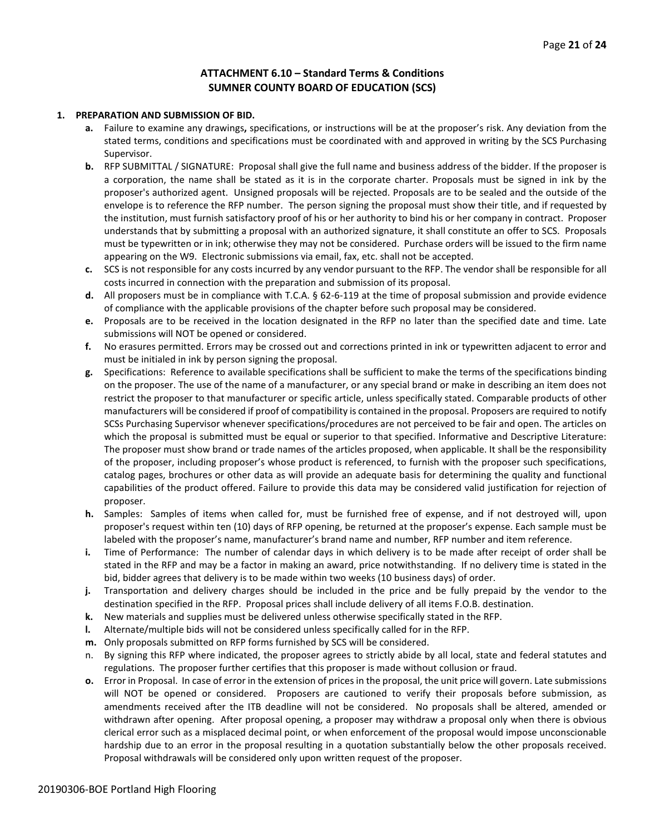## **ATTACHMENT 6.10 – Standard Terms & Conditions SUMNER COUNTY BOARD OF EDUCATION (SCS)**

#### **1. PREPARATION AND SUBMISSION OF BID.**

- **a.** Failure to examine any drawings**,** specifications, or instructions will be at the proposer's risk. Any deviation from the stated terms, conditions and specifications must be coordinated with and approved in writing by the SCS Purchasing Supervisor.
- **b.** RFP SUBMITTAL / SIGNATURE: Proposal shall give the full name and business address of the bidder. If the proposer is a corporation, the name shall be stated as it is in the corporate charter. Proposals must be signed in ink by the proposer's authorized agent. Unsigned proposals will be rejected. Proposals are to be sealed and the outside of the envelope is to reference the RFP number. The person signing the proposal must show their title, and if requested by the institution, must furnish satisfactory proof of his or her authority to bind his or her company in contract. Proposer understands that by submitting a proposal with an authorized signature, it shall constitute an offer to SCS. Proposals must be typewritten or in ink; otherwise they may not be considered. Purchase orders will be issued to the firm name appearing on the W9. Electronic submissions via email, fax, etc. shall not be accepted.
- **c.** SCS is not responsible for any costs incurred by any vendor pursuant to the RFP. The vendor shall be responsible for all costs incurred in connection with the preparation and submission of its proposal.
- **d.** All proposers must be in compliance with T.C.A. § 62-6-119 at the time of proposal submission and provide evidence of compliance with the applicable provisions of the chapter before such proposal may be considered.
- **e.** Proposals are to be received in the location designated in the RFP no later than the specified date and time. Late submissions will NOT be opened or considered.
- **f.** No erasures permitted. Errors may be crossed out and corrections printed in ink or typewritten adjacent to error and must be initialed in ink by person signing the proposal.
- **g.** Specifications: Reference to available specifications shall be sufficient to make the terms of the specifications binding on the proposer. The use of the name of a manufacturer, or any special brand or make in describing an item does not restrict the proposer to that manufacturer or specific article, unless specifically stated. Comparable products of other manufacturers will be considered if proof of compatibility is contained in the proposal. Proposers are required to notify SCSs Purchasing Supervisor whenever specifications/procedures are not perceived to be fair and open. The articles on which the proposal is submitted must be equal or superior to that specified. Informative and Descriptive Literature: The proposer must show brand or trade names of the articles proposed, when applicable. It shall be the responsibility of the proposer, including proposer's whose product is referenced, to furnish with the proposer such specifications, catalog pages, brochures or other data as will provide an adequate basis for determining the quality and functional capabilities of the product offered. Failure to provide this data may be considered valid justification for rejection of proposer.
- **h.** Samples: Samples of items when called for, must be furnished free of expense, and if not destroyed will, upon proposer's request within ten (10) days of RFP opening, be returned at the proposer's expense. Each sample must be labeled with the proposer's name, manufacturer's brand name and number, RFP number and item reference.
- **i.** Time of Performance: The number of calendar days in which delivery is to be made after receipt of order shall be stated in the RFP and may be a factor in making an award, price notwithstanding. If no delivery time is stated in the bid, bidder agrees that delivery is to be made within two weeks (10 business days) of order.
- **j.** Transportation and delivery charges should be included in the price and be fully prepaid by the vendor to the destination specified in the RFP. Proposal prices shall include delivery of all items F.O.B. destination.
- **k.** New materials and supplies must be delivered unless otherwise specifically stated in the RFP.
- **l.** Alternate/multiple bids will not be considered unless specifically called for in the RFP.
- **m.** Only proposals submitted on RFP forms furnished by SCS will be considered.
- n. By signing this RFP where indicated, the proposer agrees to strictly abide by all local, state and federal statutes and regulations. The proposer further certifies that this proposer is made without collusion or fraud.
- **o.** Error in Proposal. In case of error in the extension of prices in the proposal, the unit price will govern. Late submissions will NOT be opened or considered. Proposers are cautioned to verify their proposals before submission, as amendments received after the ITB deadline will not be considered. No proposals shall be altered, amended or withdrawn after opening. After proposal opening, a proposer may withdraw a proposal only when there is obvious clerical error such as a misplaced decimal point, or when enforcement of the proposal would impose unconscionable hardship due to an error in the proposal resulting in a quotation substantially below the other proposals received. Proposal withdrawals will be considered only upon written request of the proposer.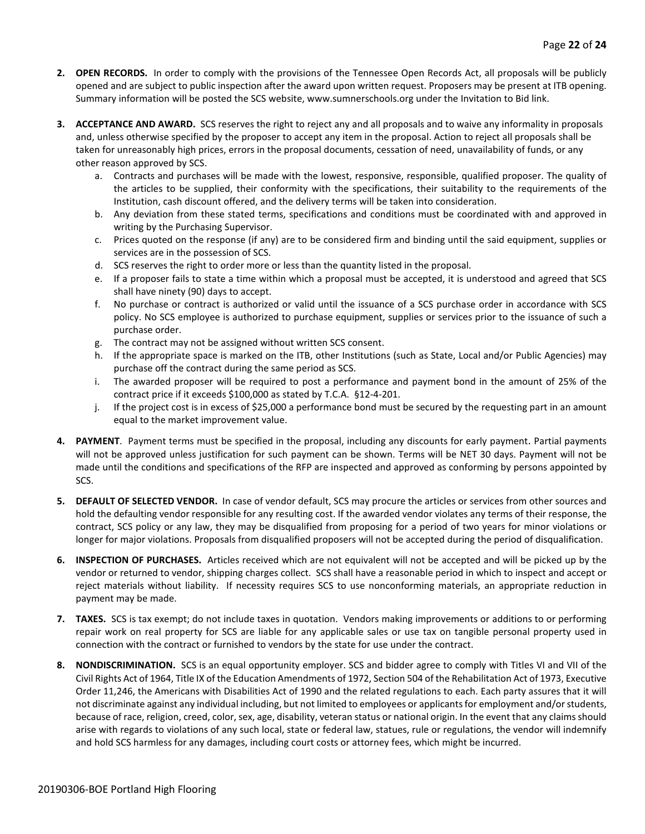- **2. OPEN RECORDS.** In order to comply with the provisions of the Tennessee Open Records Act, all proposals will be publicly opened and are subject to public inspection after the award upon written request. Proposers may be present at ITB opening. Summary information will be posted the SCS website, www.sumnerschools.org under the Invitation to Bid link.
- **3. ACCEPTANCE AND AWARD.** SCS reserves the right to reject any and all proposals and to waive any informality in proposals and, unless otherwise specified by the proposer to accept any item in the proposal. Action to reject all proposals shall be taken for unreasonably high prices, errors in the proposal documents, cessation of need, unavailability of funds, or any other reason approved by SCS.
	- a. Contracts and purchases will be made with the lowest, responsive, responsible, qualified proposer. The quality of the articles to be supplied, their conformity with the specifications, their suitability to the requirements of the Institution, cash discount offered, and the delivery terms will be taken into consideration.
	- b. Any deviation from these stated terms, specifications and conditions must be coordinated with and approved in writing by the Purchasing Supervisor.
	- c. Prices quoted on the response (if any) are to be considered firm and binding until the said equipment, supplies or services are in the possession of SCS.
	- d. SCS reserves the right to order more or less than the quantity listed in the proposal.
	- e. If a proposer fails to state a time within which a proposal must be accepted, it is understood and agreed that SCS shall have ninety (90) days to accept.
	- f. No purchase or contract is authorized or valid until the issuance of a SCS purchase order in accordance with SCS policy. No SCS employee is authorized to purchase equipment, supplies or services prior to the issuance of such a purchase order.
	- g. The contract may not be assigned without written SCS consent.
	- h. If the appropriate space is marked on the ITB, other Institutions (such as State, Local and/or Public Agencies) may purchase off the contract during the same period as SCS.
	- i. The awarded proposer will be required to post a performance and payment bond in the amount of 25% of the contract price if it exceeds \$100,000 as stated by T.C.A. §12-4-201.
	- j. If the project cost is in excess of \$25,000 a performance bond must be secured by the requesting part in an amount equal to the market improvement value.
- **4. PAYMENT**. Payment terms must be specified in the proposal, including any discounts for early payment. Partial payments will not be approved unless justification for such payment can be shown. Terms will be NET 30 days. Payment will not be made until the conditions and specifications of the RFP are inspected and approved as conforming by persons appointed by SCS.
- **5. DEFAULT OF SELECTED VENDOR.** In case of vendor default, SCS may procure the articles or services from other sources and hold the defaulting vendor responsible for any resulting cost. If the awarded vendor violates any terms of their response, the contract, SCS policy or any law, they may be disqualified from proposing for a period of two years for minor violations or longer for major violations. Proposals from disqualified proposers will not be accepted during the period of disqualification.
- **6. INSPECTION OF PURCHASES.** Articles received which are not equivalent will not be accepted and will be picked up by the vendor or returned to vendor, shipping charges collect. SCS shall have a reasonable period in which to inspect and accept or reject materials without liability. If necessity requires SCS to use nonconforming materials, an appropriate reduction in payment may be made.
- **7. TAXES.** SCS is tax exempt; do not include taxes in quotation. Vendors making improvements or additions to or performing repair work on real property for SCS are liable for any applicable sales or use tax on tangible personal property used in connection with the contract or furnished to vendors by the state for use under the contract.
- **8. NONDISCRIMINATION.** SCS is an equal opportunity employer. SCS and bidder agree to comply with Titles VI and VII of the Civil Rights Act of 1964, Title IX of the Education Amendments of 1972, Section 504 of the Rehabilitation Act of 1973, Executive Order 11,246, the Americans with Disabilities Act of 1990 and the related regulations to each. Each party assures that it will not discriminate against any individual including, but not limited to employees or applicants for employment and/or students, because of race, religion, creed, color, sex, age, disability, veteran status or national origin. In the event that any claims should arise with regards to violations of any such local, state or federal law, statues, rule or regulations, the vendor will indemnify and hold SCS harmless for any damages, including court costs or attorney fees, which might be incurred.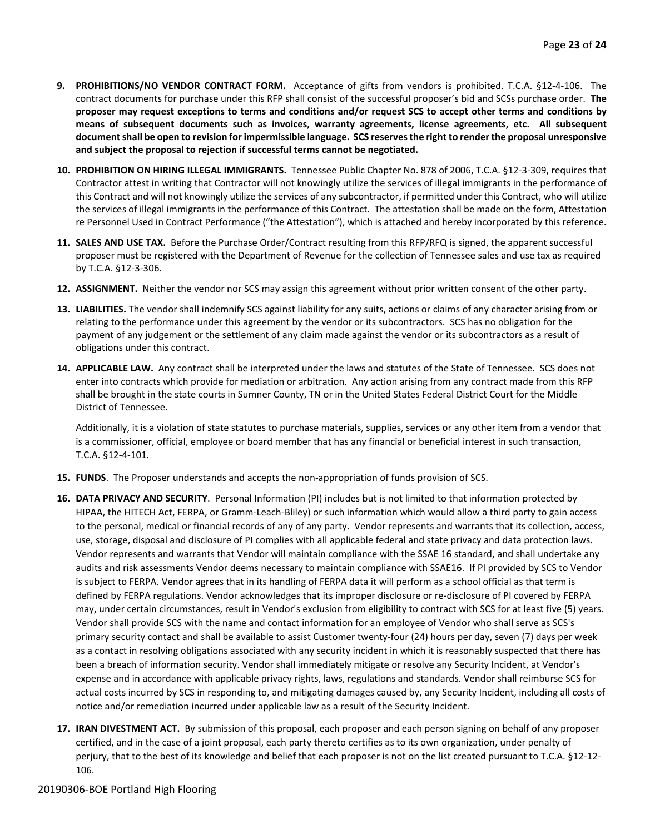- **9. PROHIBITIONS/NO VENDOR CONTRACT FORM.** Acceptance of gifts from vendors is prohibited. T.C.A. §12-4-106. The contract documents for purchase under this RFP shall consist of the successful proposer's bid and SCSs purchase order. **The proposer may request exceptions to terms and conditions and/or request SCS to accept other terms and conditions by means of subsequent documents such as invoices, warranty agreements, license agreements, etc. All subsequent document shall be open to revision for impermissible language. SCS reserves the right to render the proposal unresponsive and subject the proposal to rejection if successful terms cannot be negotiated.**
- **10. PROHIBITION ON HIRING ILLEGAL IMMIGRANTS.** Tennessee Public Chapter No. 878 of 2006, T.C.A. §12-3-309, requires that Contractor attest in writing that Contractor will not knowingly utilize the services of illegal immigrants in the performance of this Contract and will not knowingly utilize the services of any subcontractor, if permitted under this Contract, who will utilize the services of illegal immigrants in the performance of this Contract. The attestation shall be made on the form, Attestation re Personnel Used in Contract Performance ("the Attestation"), which is attached and hereby incorporated by this reference.
- **11. SALES AND USE TAX.** Before the Purchase Order/Contract resulting from this RFP/RFQ is signed, the apparent successful proposer must be registered with the Department of Revenue for the collection of Tennessee sales and use tax as required by T.C.A. §12-3-306.
- **12. ASSIGNMENT.** Neither the vendor nor SCS may assign this agreement without prior written consent of the other party.
- **13. LIABILITIES.** The vendor shall indemnify SCS against liability for any suits, actions or claims of any character arising from or relating to the performance under this agreement by the vendor or its subcontractors. SCS has no obligation for the payment of any judgement or the settlement of any claim made against the vendor or its subcontractors as a result of obligations under this contract.
- **14. APPLICABLE LAW.** Any contract shall be interpreted under the laws and statutes of the State of Tennessee. SCS does not enter into contracts which provide for mediation or arbitration. Any action arising from any contract made from this RFP shall be brought in the state courts in Sumner County, TN or in the United States Federal District Court for the Middle District of Tennessee.

Additionally, it is a violation of state statutes to purchase materials, supplies, services or any other item from a vendor that is a commissioner, official, employee or board member that has any financial or beneficial interest in such transaction, T.C.A. §12-4-101.

- **15. FUNDS**. The Proposer understands and accepts the non-appropriation of funds provision of SCS.
- **16. DATA PRIVACY AND SECURITY**. Personal Information (PI) includes but is not limited to that information protected by HIPAA, the HITECH Act, FERPA, or Gramm-Leach-Bliley) or such information which would allow a third party to gain access to the personal, medical or financial records of any of any party. Vendor represents and warrants that its collection, access, use, storage, disposal and disclosure of PI complies with all applicable federal and state privacy and data protection laws. Vendor represents and warrants that Vendor will maintain compliance with the SSAE 16 standard, and shall undertake any audits and risk assessments Vendor deems necessary to maintain compliance with SSAE16. If PI provided by SCS to Vendor is subject to FERPA. Vendor agrees that in its handling of FERPA data it will perform as a school official as that term is defined by FERPA regulations. Vendor acknowledges that its improper disclosure or re-disclosure of PI covered by FERPA may, under certain circumstances, result in Vendor's exclusion from eligibility to contract with SCS for at least five (5) years. Vendor shall provide SCS with the name and contact information for an employee of Vendor who shall serve as SCS's primary security contact and shall be available to assist Customer twenty-four (24) hours per day, seven (7) days per week as a contact in resolving obligations associated with any security incident in which it is reasonably suspected that there has been a breach of information security. Vendor shall immediately mitigate or resolve any Security Incident, at Vendor's expense and in accordance with applicable privacy rights, laws, regulations and standards. Vendor shall reimburse SCS for actual costs incurred by SCS in responding to, and mitigating damages caused by, any Security Incident, including all costs of notice and/or remediation incurred under applicable law as a result of the Security Incident.
- **17. IRAN DIVESTMENT ACT.** By submission of this proposal, each proposer and each person signing on behalf of any proposer certified, and in the case of a joint proposal, each party thereto certifies as to its own organization, under penalty of perjury, that to the best of its knowledge and belief that each proposer is not on the list created pursuant to T.C.A. §12-12- 106.